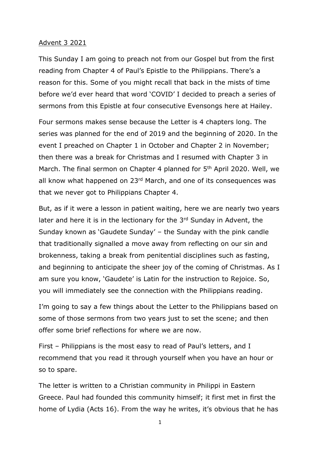## Advent 3 2021

This Sunday I am going to preach not from our Gospel but from the first reading from Chapter 4 of Paul's Epistle to the Philippians. There's a reason for this. Some of you might recall that back in the mists of time before we'd ever heard that word 'COVID' I decided to preach a series of sermons from this Epistle at four consecutive Evensongs here at Hailey.

Four sermons makes sense because the Letter is 4 chapters long. The series was planned for the end of 2019 and the beginning of 2020. In the event I preached on Chapter 1 in October and Chapter 2 in November; then there was a break for Christmas and I resumed with Chapter 3 in March. The final sermon on Chapter 4 planned for 5<sup>th</sup> April 2020. Well, we all know what happened on 23<sup>rd</sup> March, and one of its consequences was that we never got to Philippians Chapter 4.

But, as if it were a lesson in patient waiting, here we are nearly two years later and here it is in the lectionary for the 3<sup>rd</sup> Sunday in Advent, the Sunday known as 'Gaudete Sunday' – the Sunday with the pink candle that traditionally signalled a move away from reflecting on our sin and brokenness, taking a break from penitential disciplines such as fasting, and beginning to anticipate the sheer joy of the coming of Christmas. As I am sure you know, 'Gaudete' is Latin for the instruction to Rejoice. So, you will immediately see the connection with the Philippians reading.

I'm going to say a few things about the Letter to the Philippians based on some of those sermons from two years just to set the scene; and then offer some brief reflections for where we are now.

First – Philippians is the most easy to read of Paul's letters, and I recommend that you read it through yourself when you have an hour or so to spare.

The letter is written to a Christian community in Philippi in Eastern Greece. Paul had founded this community himself; it first met in first the home of Lydia (Acts 16). From the way he writes, it's obvious that he has

1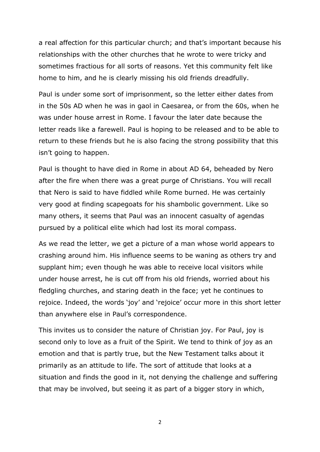a real affection for this particular church; and that's important because his relationships with the other churches that he wrote to were tricky and sometimes fractious for all sorts of reasons. Yet this community felt like home to him, and he is clearly missing his old friends dreadfully.

Paul is under some sort of imprisonment, so the letter either dates from in the 50s AD when he was in gaol in Caesarea, or from the 60s, when he was under house arrest in Rome. I favour the later date because the letter reads like a farewell. Paul is hoping to be released and to be able to return to these friends but he is also facing the strong possibility that this isn't going to happen.

Paul is thought to have died in Rome in about AD 64, beheaded by Nero after the fire when there was a great purge of Christians. You will recall that Nero is said to have fiddled while Rome burned. He was certainly very good at finding scapegoats for his shambolic government. Like so many others, it seems that Paul was an innocent casualty of agendas pursued by a political elite which had lost its moral compass.

As we read the letter, we get a picture of a man whose world appears to crashing around him. His influence seems to be waning as others try and supplant him; even though he was able to receive local visitors while under house arrest, he is cut off from his old friends, worried about his fledgling churches, and staring death in the face; yet he continues to rejoice. Indeed, the words 'joy' and 'rejoice' occur more in this short letter than anywhere else in Paul's correspondence.

This invites us to consider the nature of Christian joy. For Paul, joy is second only to love as a fruit of the Spirit. We tend to think of joy as an emotion and that is partly true, but the New Testament talks about it primarily as an attitude to life. The sort of attitude that looks at a situation and finds the good in it, not denying the challenge and suffering that may be involved, but seeing it as part of a bigger story in which,

2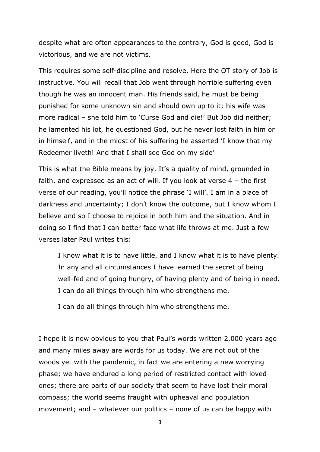despite what are often appearances to the contrary, God is good, God is victorious, and we are not victims.

This requires some self-discipline and resolve. Here the OT story of Job is instructive. You will recall that Job went through horrible suffering even though he was an innocent man. His friends said, he must be being punished for some unknown sin and should own up to it; his wife was more radical – she told him to 'Curse God and die!' But Job did neither; he lamented his lot, he questioned God, but he never lost faith in him or in himself, and in the midst of his suffering he asserted 'I know that my Redeemer liveth! And that I shall see God on my side'

This is what the Bible means by joy. It's a quality of mind, grounded in faith, and expressed as an act of will. If you look at verse 4 – the first verse of our reading, you'll notice the phrase 'I will'. I am in a place of darkness and uncertainty; I don't know the outcome, but I know whom I believe and so I choose to rejoice in both him and the situation. And in doing so I find that I can better face what life throws at me. Just a few verses later Paul writes this:

I know what it is to have little, and I know what it is to have plenty. In any and all circumstances I have learned the secret of being well-fed and of going hungry, of having plenty and of being in need. I can do all things through him who strengthens me.

I can do all things through him who strengthens me.

I hope it is now obvious to you that Paul's words written 2,000 years ago and many miles away are words for us today. We are not out of the woods yet with the pandemic, in fact we are entering a new worrying phase; we have endured a long period of restricted contact with lovedones; there are parts of our society that seem to have lost their moral compass; the world seems fraught with upheaval and population movement; and – whatever our politics – none of us can be happy with

3